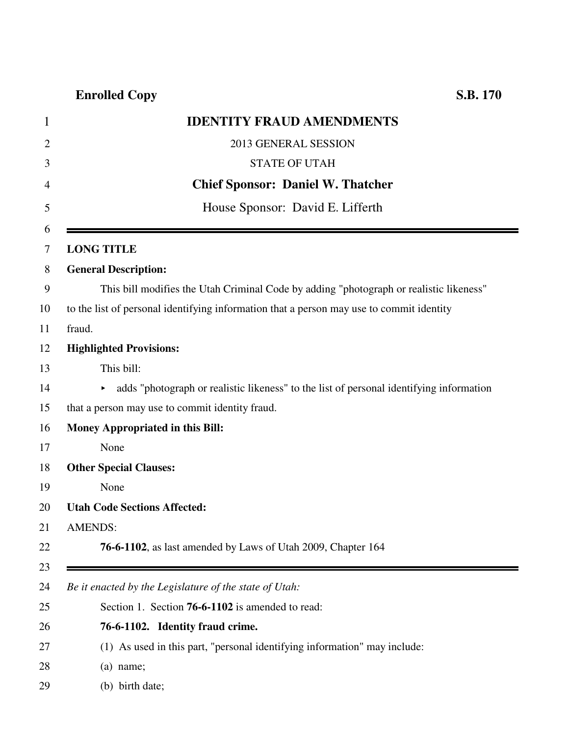## **Enrolled Copy S.B. 170**

|                | <b>IDENTITY FRAUD AMENDMENTS</b>                                                         |
|----------------|------------------------------------------------------------------------------------------|
| $\overline{2}$ | 2013 GENERAL SESSION                                                                     |
|                | <b>STATE OF UTAH</b>                                                                     |
|                | <b>Chief Sponsor: Daniel W. Thatcher</b>                                                 |
|                | House Sponsor: David E. Lifferth                                                         |
| 6              |                                                                                          |
| 7              | <b>LONG TITLE</b>                                                                        |
| 8              | <b>General Description:</b>                                                              |
| 9              | This bill modifies the Utah Criminal Code by adding "photograph or realistic likeness"   |
| 10             | to the list of personal identifying information that a person may use to commit identity |
| 11             | fraud.                                                                                   |
| 12             | <b>Highlighted Provisions:</b>                                                           |
| 13             | This bill:                                                                               |
| 14             | adds "photograph or realistic likeness" to the list of personal identifying information  |
| 15             | that a person may use to commit identity fraud.                                          |
| 16             | <b>Money Appropriated in this Bill:</b>                                                  |
| 17             | None                                                                                     |
| 18             | <b>Other Special Clauses:</b>                                                            |
| 19             | None                                                                                     |
| 20             | <b>Utah Code Sections Affected:</b>                                                      |
| 21             | <b>AMENDS:</b>                                                                           |
| 22             | 76-6-1102, as last amended by Laws of Utah 2009, Chapter 164                             |
| 23             |                                                                                          |
| 24             | Be it enacted by the Legislature of the state of Utah:                                   |
| 25             | Section 1. Section 76-6-1102 is amended to read:                                         |
| 26             | 76-6-1102. Identity fraud crime.                                                         |
| 27             | (1) As used in this part, "personal identifying information" may include:                |
| 28             | $(a)$ name;                                                                              |
| 29             | (b) birth date;                                                                          |
|                |                                                                                          |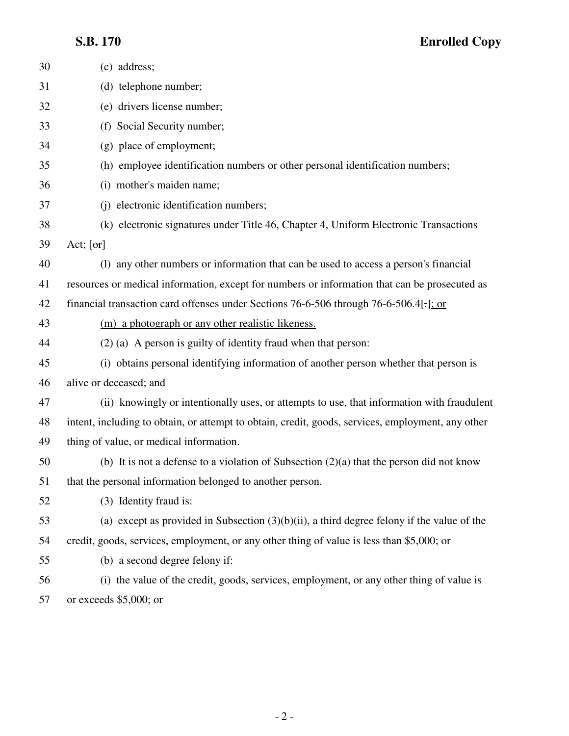## **S.B. 170 Enrolled Copy**

| 30 | (c) address;                                                                                      |
|----|---------------------------------------------------------------------------------------------------|
| 31 | (d) telephone number;                                                                             |
| 32 | (e) drivers license number;                                                                       |
| 33 | (f) Social Security number;                                                                       |
| 34 | (g) place of employment;                                                                          |
| 35 | (h) employee identification numbers or other personal identification numbers;                     |
| 36 | (i) mother's maiden name;                                                                         |
| 37 | (j) electronic identification numbers;                                                            |
| 38 | (k) electronic signatures under Title 46, Chapter 4, Uniform Electronic Transactions              |
| 39 | Act; $[\sigma r]$                                                                                 |
| 40 | (1) any other numbers or information that can be used to access a person's financial              |
| 41 | resources or medical information, except for numbers or information that can be prosecuted as     |
| 42 | financial transaction card offenses under Sections 76-6-506 through 76-6-506.4                    |
| 43 | (m) a photograph or any other realistic likeness.                                                 |
| 44 | $(2)$ (a) A person is guilty of identity fraud when that person:                                  |
| 45 | (i) obtains personal identifying information of another person whether that person is             |
| 46 | alive or deceased; and                                                                            |
| 47 | (ii) knowingly or intentionally uses, or attempts to use, that information with fraudulent        |
| 48 | intent, including to obtain, or attempt to obtain, credit, goods, services, employment, any other |
| 49 | thing of value, or medical information.                                                           |
| 50 | (b) It is not a defense to a violation of Subsection $(2)(a)$ that the person did not know        |
| 51 | that the personal information belonged to another person.                                         |
| 52 | (3) Identity fraud is:                                                                            |
| 53 | (a) except as provided in Subsection $(3)(b)(ii)$ , a third degree felony if the value of the     |
| 54 | credit, goods, services, employment, or any other thing of value is less than \$5,000; or         |
| 55 | (b) a second degree felony if:                                                                    |
| 56 | (i) the value of the credit, goods, services, employment, or any other thing of value is          |
| 57 | or exceeds $$5,000$ ; or                                                                          |